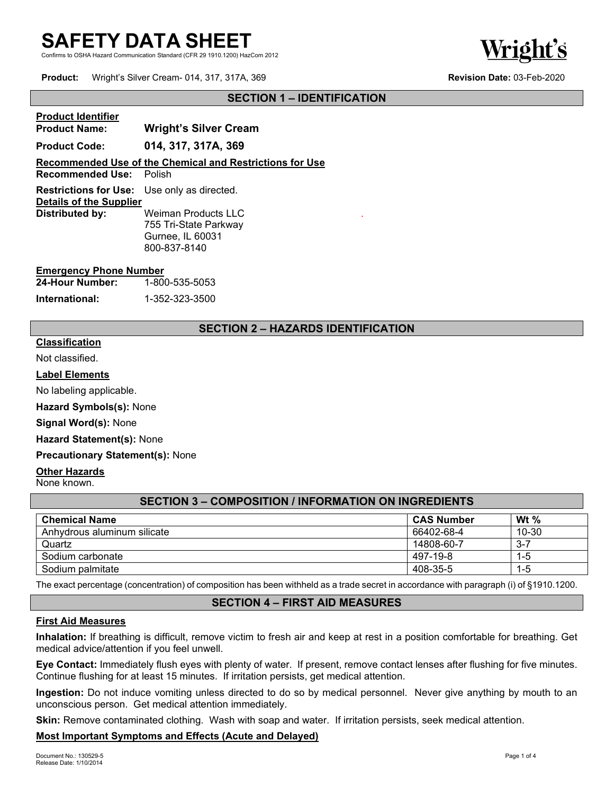Hazard Communication Standard (CFR 29 1910.1200) HazCom 2012



**Product:** Wright's Silver Cream- 014, 317, 317A, 369 **Revision Date:** 03-Feb-2020

#### **SECTION 1 – IDENTIFICATION**

| <b>Product Identifier</b>                                                            |                                                                                         |
|--------------------------------------------------------------------------------------|-----------------------------------------------------------------------------------------|
| <b>Product Name:</b>                                                                 | <b>Wright's Silver Cream</b>                                                            |
| <b>Product Code:</b>                                                                 | 014, 317, 317A, 369                                                                     |
|                                                                                      | Recommended Use of the Chemical and Restrictions for Use                                |
| <b>Recommended Use: Polish</b>                                                       |                                                                                         |
| <b>Restrictions for Use:</b> Use only as directed.<br><b>Details of the Supplier</b> |                                                                                         |
| Distributed by:                                                                      | <b>Weiman Products LLC</b><br>755 Tri-State Parkway<br>Gurnee, IL 60031<br>800-837-8140 |

#### **Emergency Phone Number**

| 24-Hour Number: | 1-800-535-5053 |
|-----------------|----------------|
| International:  | 1-352-323-3500 |

## **SECTION 2 – HAZARDS IDENTIFICATION**

.

# **Classification**

Not classified.

#### **Label Elements**

No labeling applicable.

**Hazard Symbols(s):** None

**Signal Word(s):** None

**Hazard Statement(s):** None

**Precautionary Statement(s):** None

#### **Other Hazards**

None known.

| --------                    |                   |         |
|-----------------------------|-------------------|---------|
| <b>Chemical Name</b>        | <b>CAS Number</b> | Wt $%$  |
| Anhydrous aluminum silicate | 66402-68-4        | 10-30   |
| Quartz                      | 14808-60-7        | $3 - 7$ |
| Sodium carbonate            | 497-19-8          | $1 - 5$ |
| Sodium palmitate            | 408-35-5          | $1 - 5$ |

**SECTION 3 – COMPOSITION / INFORMATION ON INGREDIENTS**

The exact percentage (concentration) of composition has been withheld as a trade secret in accordance with paragraph (i) of §1910.1200.

## **SECTION 4 – FIRST AID MEASURES**

#### **First Aid Measures**

**Inhalation:** If breathing is difficult, remove victim to fresh air and keep at rest in a position comfortable for breathing. Get medical advice/attention if you feel unwell.

**Eye Contact:** Immediately flush eyes with plenty of water. If present, remove contact lenses after flushing for five minutes. Continue flushing for at least 15 minutes. If irritation persists, get medical attention.

**Ingestion:** Do not induce vomiting unless directed to do so by medical personnel. Never give anything by mouth to an unconscious person. Get medical attention immediately.

**Skin:** Remove contaminated clothing. Wash with soap and water. If irritation persists, seek medical attention.

#### **Most Important Symptoms and Effects (Acute and Delayed)**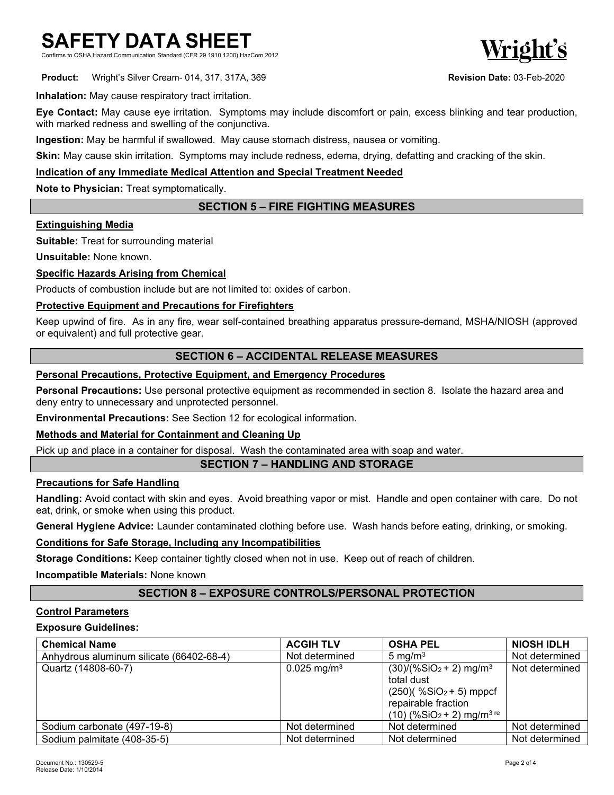# **SAFETY DATA SHEET**

zard Communication Standard (CFR 29 1910.1200) HazCom 2012



**Product:** Wright's Silver Cream- 014, 317, 317A, 369 **Revision Date:** 03-Feb-2020

**Inhalation:** May cause respiratory tract irritation.

**Eye Contact:** May cause eye irritation. Symptoms may include discomfort or pain, excess blinking and tear production, with marked redness and swelling of the conjunctiva.

**Ingestion:** May be harmful if swallowed. May cause stomach distress, nausea or vomiting.

**Skin:** May cause skin irritation. Symptoms may include redness, edema, drying, defatting and cracking of the skin.

## **Indication of any Immediate Medical Attention and Special Treatment Needed**

**Note to Physician:** Treat symptomatically.

## **SECTION 5 – FIRE FIGHTING MEASURES**

#### **Extinguishing Media**

**Suitable:** Treat for surrounding material

**Unsuitable:** None known.

## **Specific Hazards Arising from Chemical**

Products of combustion include but are not limited to: oxides of carbon.

## **Protective Equipment and Precautions for Firefighters**

Keep upwind of fire. As in any fire, wear self-contained breathing apparatus pressure-demand, MSHA/NIOSH (approved or equivalent) and full protective gear.

## **SECTION 6 – ACCIDENTAL RELEASE MEASURES**

#### **Personal Precautions, Protective Equipment, and Emergency Procedures**

**Personal Precautions:** Use personal protective equipment as recommended in section 8. Isolate the hazard area and deny entry to unnecessary and unprotected personnel.

**Environmental Precautions:** See Section 12 for ecological information.

## **Methods and Material for Containment and Cleaning Up**

Pick up and place in a container for disposal. Wash the contaminated area with soap and water.

**SECTION 7 – HANDLING AND STORAGE**

# **Precautions for Safe Handling**

**Handling:** Avoid contact with skin and eyes. Avoid breathing vapor or mist. Handle and open container with care. Do not eat, drink, or smoke when using this product.

**General Hygiene Advice:** Launder contaminated clothing before use. Wash hands before eating, drinking, or smoking.

## **Conditions for Safe Storage, Including any Incompatibilities**

**Storage Conditions:** Keep container tightly closed when not in use. Keep out of reach of children.

**Incompatible Materials:** None known

## **SECTION 8 – EXPOSURE CONTROLS/PERSONAL PROTECTION**

## **Control Parameters**

#### **Exposure Guidelines:**

| <b>Chemical Name</b>                     | <b>ACGIH TLV</b>          | <b>OSHA PEL</b>                                                                                                                                             | <b>NIOSH IDLH</b> |
|------------------------------------------|---------------------------|-------------------------------------------------------------------------------------------------------------------------------------------------------------|-------------------|
| Anhydrous aluminum silicate (66402-68-4) | Not determined            | 5 mg/ $m3$                                                                                                                                                  | Not determined    |
| Quartz (14808-60-7)                      | $0.025$ mg/m <sup>3</sup> | $(30)/(%SiO2+2)$ mg/m <sup>3</sup><br>total dust<br>$(250)( %SiO2 + 5)$ mppcf<br>repairable fraction<br>$(10)$ (%SiO <sub>2</sub> + 2) mg/m <sup>3 re</sup> | Not determined    |
| Sodium carbonate (497-19-8)              | Not determined            | Not determined                                                                                                                                              | Not determined    |
| Sodium palmitate (408-35-5)              | Not determined            | Not determined                                                                                                                                              | Not determined    |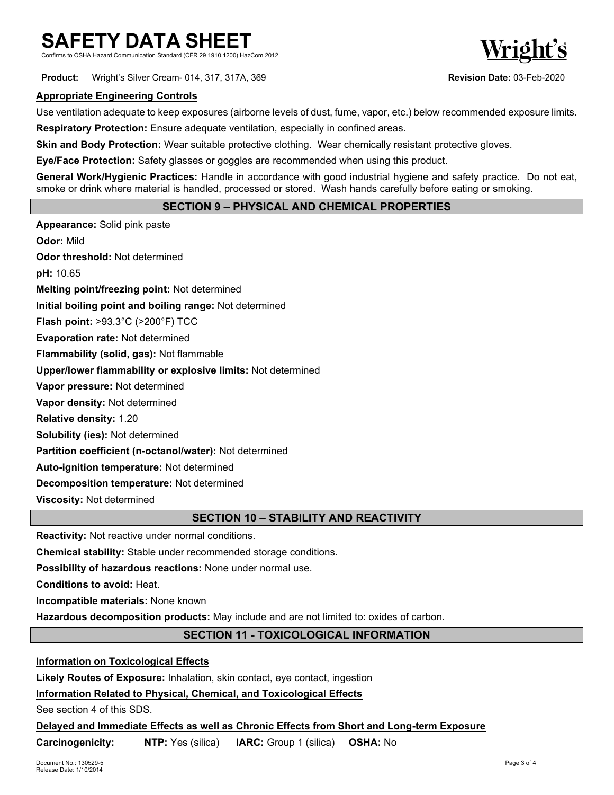# **SAFETY DATA SHEET**

rd Communication Standard (CFR 29 1910.1200) HazCom 2012

**Product:** Wright's Silver Cream- 014, 317, 317A, 369 **Revision Date:** 03-Feb-2020

## **Appropriate Engineering Controls**

Use ventilation adequate to keep exposures (airborne levels of dust, fume, vapor, etc.) below recommended exposure limits.

**Respiratory Protection:** Ensure adequate ventilation, especially in confined areas.

**Skin and Body Protection:** Wear suitable protective clothing. Wear chemically resistant protective gloves.

**Eye/Face Protection:** Safety glasses or goggles are recommended when using this product.

**General Work/Hygienic Practices:** Handle in accordance with good industrial hygiene and safety practice. Do not eat, smoke or drink where material is handled, processed or stored. Wash hands carefully before eating or smoking.

## **SECTION 9 – PHYSICAL AND CHEMICAL PROPERTIES**

**Appearance:** Solid pink paste **Odor:** Mild **Odor threshold:** Not determined **pH:** 10.65 **Melting point/freezing point:** Not determined **Initial boiling point and boiling range:** Not determined **Flash point:** >93.3°C (>200°F) TCC **Evaporation rate:** Not determined **Flammability (solid, gas):** Not flammable **Upper/lower flammability or explosive limits:** Not determined **Vapor pressure:** Not determined **Vapor density:** Not determined **Relative density:** 1.20 **Solubility (ies):** Not determined **Partition coefficient (n-octanol/water):** Not determined **Auto-ignition temperature:** Not determined **Decomposition temperature:** Not determined **Viscosity:** Not determined

## **SECTION 10 – STABILITY AND REACTIVITY**

**Reactivity:** Not reactive under normal conditions.

**Chemical stability:** Stable under recommended storage conditions.

**Possibility of hazardous reactions:** None under normal use.

**Conditions to avoid:** Heat.

**Incompatible materials:** None known

**Hazardous decomposition products:** May include and are not limited to: oxides of carbon.

## **SECTION 11 - TOXICOLOGICAL INFORMATION**

**Information on Toxicological Effects**

**Likely Routes of Exposure:** Inhalation, skin contact, eye contact, ingestion

# **Information Related to Physical, Chemical, and Toxicological Effects**

See section 4 of this SDS.

**Delayed and Immediate Effects as well as Chronic Effects from Short and Long-term Exposure**

**Carcinogenicity: NTP:** Yes (silica) **IARC:** Group 1 (silica) **OSHA:** No